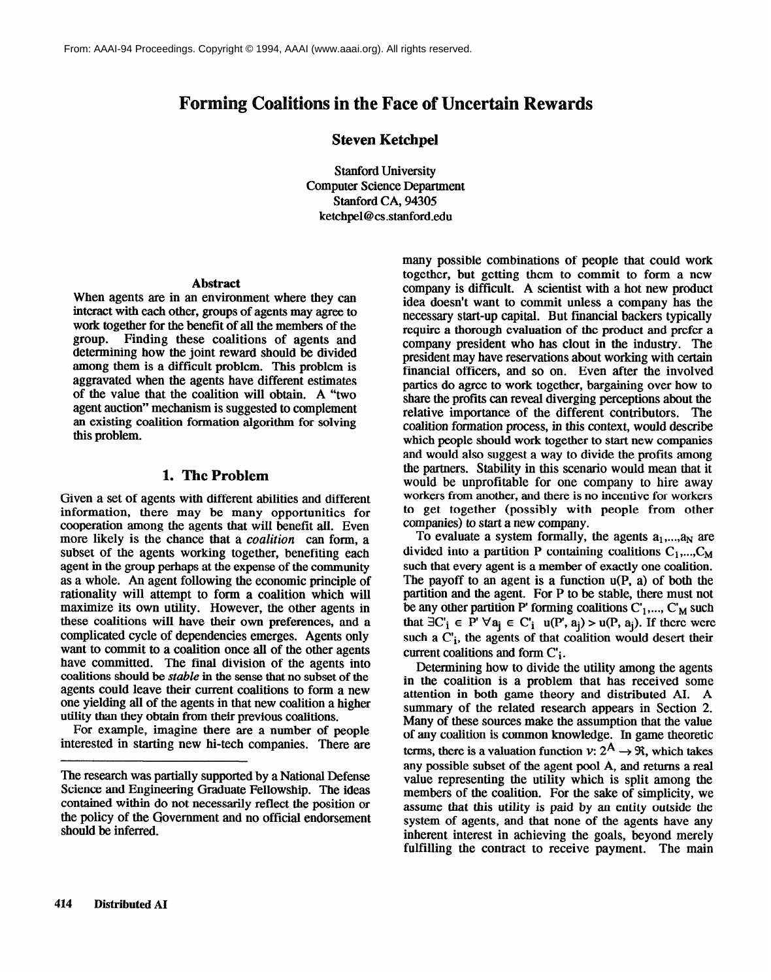# **Forming Coalitions in the Face of Uncertain Rewards**

#### **Steven Ketchpel**

Stanford University Computer Science Department Stanford CA, 94305 ketchpel@cs.stanford.edu

#### **Abstract**

When agents are in an environment where they can interact with each other, groups of agents may agree to work together for the benefit of all the members of the group. Finding these coalitions of agents and determining how the joint reward should be divided among them is a difficult problem. This problem is aggravated when the agents have different estimates of the value that the coalition will obtain. A "two agent auction" mechanism is suggested to complement an existing coalition formation algorithm for solving this problem.

#### **I. The Problem**

Given a set of agents with different abilities and different information, there may be many opportunities for cooperation among the agents that will benefit all. Even more likely is the chance that a *coalition can form,* a subset of the agents working together, benefiting each agent in the group perhaps at the expense of the community as a whole. An agent following the economic principle of rationality will attempt to form a coalition which will maximize its own utility. However, the other agents in these coalitions will have their own preferences, and a complicated cycle of dependencies emerges. Agents only want to commit to a coalition once all of the other agents have committed. The final division of the agents into coalitions should be *stable* in the sense that no subset of the agents could leave their current coalitions to form a new one yielding all of the agents in that new coalition a higher utility than they obtain from their previous coalitions.

For example, imagine there are a number of people interested in starting new hi-tech companies. There are

many possible combinations of people that could work together, but getting them to commit to form a new company is difficult. A scientist with a hot new product idea doesn't want to commit unless a company has the necessary start-up capital. But fmancial backers typically require a thorough evaluation of the product and prefer a company president who has clout in the industry. The president may have reservations about working with certain financial officers, and so on. Even after the involved parties do agree to work together, bargaining over how to share the profits can reveal diverging perceptions about the relative importance of the different contributors. The coalition formation process, in this context, would describe which people should work together to start new companies and would also suggest a way to divide the profits among the partners. Stability in this scenario would mean that it would be unprofitable for one company to hire away workers from another, and there is no incentive for workers to get together (possibly with people from other companies) to start a new company.

To evaluate a system formally, the agents  $a_1,...,a_N$  are divided into a partition P containing coalitions  $C_1$ ,...,C<sub>M</sub> such that every agent is a member of exactly one coalition. The payoff to an agent is a function  $u(P, a)$  of both the partition and the agent. For P to be stable, there must not be any other partition P' forming coalitions  $C_1, ..., C_M$  such that  $\exists C'_i \in P' \,\forall a_i \in C'_i \,u(P', a_i) > u(P, a_i)$ . If there were such a  $C_i$ , the agents of that coalition would desert their current coalitions and form  $C_i$ .

Determining how to divide the utility among the agents in the coalition is a problem that has received some attention in both game theory and distributed AI. A summary of the related research appears in Section 2. Many of these sources make the assumption that the value of any coalition is common knowledge. In game theoretic terms, there is a valuation function  $v: 2^{\mathsf{A}} \to \mathfrak{R}$ , which takes any possible subset of the agent pool A, and returns a real value representing the utility which is split among the members of the coalition. For the sake of simplicity, we assume that this utility is paid by an entity outside the system of agents, and that none of the agents have any inherent interest in achieving the goals, beyond merely fulfilling the contract to receive payment. The main

The research was partially supported by a National Defense Science and Engineering Graduate Fellowship. The ideas contained within do not necessarily reflect the position or the policy of the Government and no official endorsement should be inferred.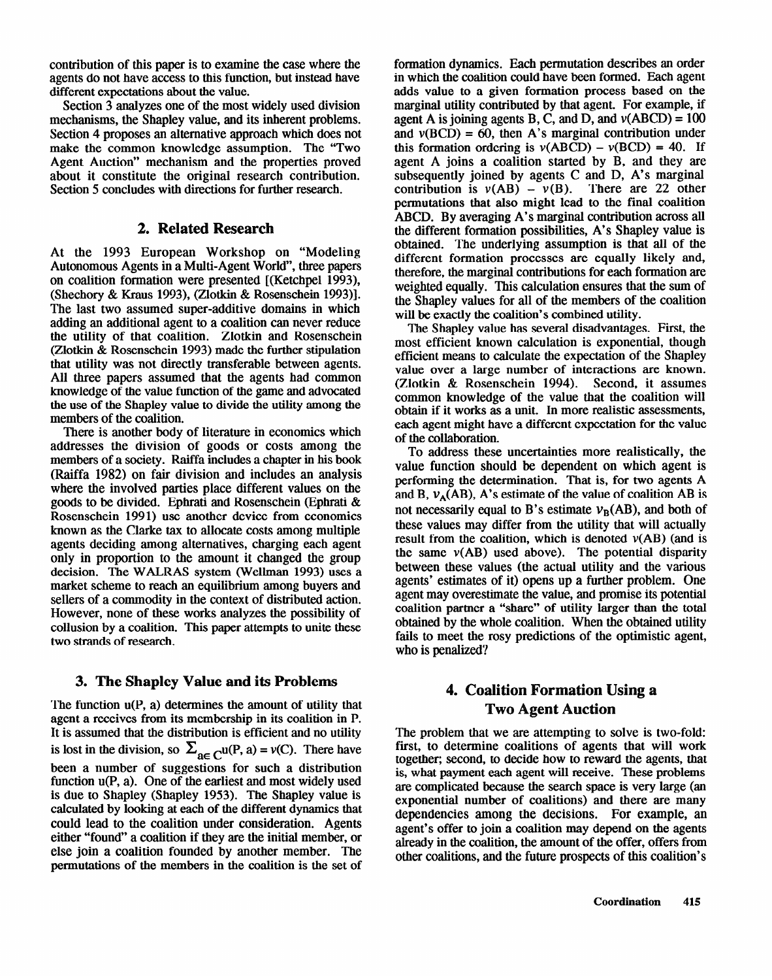contribution of this paper is to examine the case where the agents do not have access to this function, but instead have different expectations about the value.

Section 3 analyzes one of the most widely used division mechanisms, the Shapley value, and its inherent problems. Section 4 proposes an alternative approach which does not make the common knowledge assumption. The "Two Agent Auction" mechanism and the properties proved about it constitute the original research contribution. Section 5 concludes with directions for further research.

#### **elated Research**

At the 1993 European Workshop on "Modeling Autonomous Agents in a Multi-Agent World", three papers on coalition formation were presented [(Ketchpel 1993), (Shechory & Kraus 1993), (Zlotkin & Rosenschein 1993)]. The last two assumed super-additive domains in which adding an additional agent to a coalition can never reduce the utility of that coalition. Zlotkin and Rosenschein (Zlotkin & Rosenschein 1993) made the further stipulation that utility was not directly transferable between agents. All three papers assumed that the agents had common knowledge of the value function of the game and advocated the use of the Shapley value to divide the utility among the members of the coalition.

There is another body of literature in economics which addresses the division of goods or costs among the members of a society. Raiffa includes a chapter in his book (Raiffa 1982) on fair division and includes an analysis where the involved parties place different values on the goods to be divided. Ephrati and Rosenschein (Ephrati & Rosenschein 1991) use another device from economics known as the Clarke tax to allocate costs among multiple agents deciding among alternatives, charging each agent only in proportion to the amount it changed the group decision. The WALRAS system (Wellman 1993) uses a market scheme to reach an equilibrium among buyers and sellers of a commodity in the context of distributed action. However, none of these works analyzes the possibility of collusion by a coalition. This paper attempts to unite these two strands of research.

#### **3. The Shapley Value and its Problems**

The function u(P, a) determines the amount of utility that agent a receives from its membership in its coalition in P. It is assumed that the distribution is efficient and no utility is lost in the division, so  $\Sigma_{\text{ac}}$  cu(P, a) = v(C). There have been a number of suggestions for such a distribution function u(P, a). One of the earliest and most widely used is due to Shapley (Shapley 1953). The Shapley value is calculated by looking at each of the different dynamics that could lead to the coalition under consideration. Agents either "found' a coalition if they are the initial member, or else join a coalition founded by another member. The permutations of the members in the coalition is the set of

formation dynamics. Each permutation describes an order in which the coalition could have been formed. Each agent adds value to a given formation process based on the marginal utility contributed by that agent. For example, if agent A is joining agents B, C, and D, and  $v(ABCD) = 100$ and  $v(BCD) = 60$ , then A's marginal contribution under this formation ordering is  $v(ABCD) - v(BCD) = 40$ . If agent A joins a coalition started by B, and they are subsequently joined by agents C and D, A's marginal contribution is  $v(AB) - v(B)$ . There are 22 other permutations that also might lead to the final coalition ABCD. By averaging A's marginal contribution across all the different formation possibilities, A's Shapley value is obtained. The underlying assumption is that all of the different formation processes are equally likely and, therefore, the marginal contributions for each formation are weighted equally. This calculation ensures that the sum of the Shapley values for all of the members of will be exactly the coalition's combined utility.

The Shapley value has several disadvantages. First, the most efficient known calculation is exponential, though efficient means to calculate the expectation of the Shapley value over a large number of interactions are known. (Zlotkin & Rosenschein 1994). Second, it assumes common knowledge of the value that the coalition will obtain if it works as a unit. In more realistic assessments, each agent might have a different expectation for the value of the collaboration.

To address these uncertainties more realistically, the value function should be dependent on which agent is performing the determination. That is, for two agents A and B,  $v_A(AB)$ , A's estimate of the value of coalition AB is not necessarily equal to B's estimate  $v_B(AB)$ , and both of these values may differ from the utility that will actually result from the coalition, which is denoted  $v(AB)$  (and is the same  $v(AB)$  used above). The potential disparity between these values (the actual utility and the various agents' estimates of it) opens up a further problem. One agent may overestimate the value, and promise its potential coalition partner a "share" of utility larger than the total obtained by the whole coalition. When the obtained utility fails to meet the rosy predictions of the optimistic agent, who is penalized?

## **4. Coalition Formation Using a wo Agent Auction**

The problem that we are attempting to solve is two-fold: first, to determine coalitions of agents that will work together; second, to decide how to reward the agents, that is, what payment each agent will receive. These problems are complicated because the search space is very large (an exponential number of coalitions) and there are many dependencies among the decisions. For example, an agent's offer to join a coalition may depend on the agents already in the coalition, the amount of the offer, offers from other coalitions, and the future prospects of this coalition's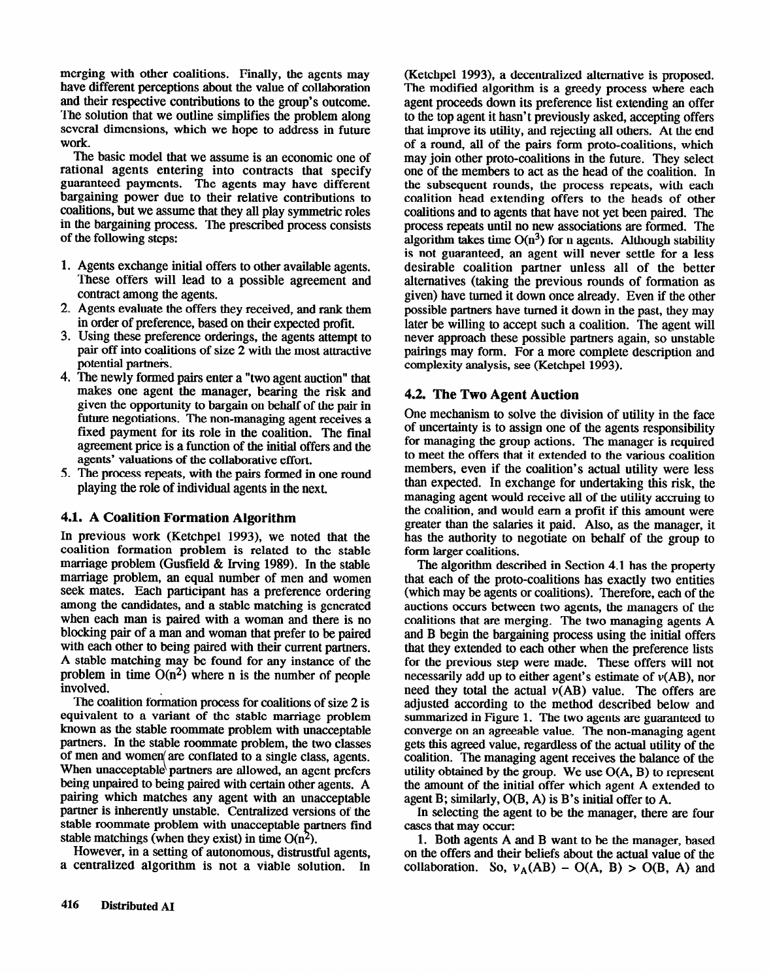merging with other coalitions. Finally, the agents may have different perceptions about the value of collaboration and their respective contributions to the group's outcome. The solution that we outline simplifies the problem along several dimensions, which we hope to address in future work.

The basic model that we assume is an economic one of rational agents entering into contracts that specify guaranteed payments. The agents may have different bargaining power due to their relative contributions to coalitions, but we assume that they all play symmetric roles in the bargaining process. The prescribed process consists of the following steps:

- 1. Agents exchange initial offers to other available agents. These offers will lead to a possible agreement and contract among the agents.
- 2. Agents evaluate the offers they received, and rank them in order of preference, based on their expected profit.
- 3. Using these preference orderings, the agents attempt to pair off into coalitions of size 2 with the most attractive potential partners.
- 4. The newly formed pairs enter a "two agent auction" that makes one agent the manager, bearing the risk and given the opportunity to bargain on behalf of the pair in future negotiations. The non-managing agent receives a fixed payment for its role in the coalition. The final agreement price is a function of the initial offers and the agents' valuations of the collaborative effort.
- 5. The process repeats, with the pairs formed in one round playing the role of individual agents in the next.

#### **4.1. A Coalition Formation Algorithm**

In previous work (Ketchpel 1993), we noted that the coalition formation problem is related to the stable marriage problem (Gusfield & Irving 1989). In the stable marriage problem, an equal number of men and women seek mates. Each participant has a preference ordering among the candidates, and a stable matching is generated when each man is paired with a woman and there is no blocking pair of a man and woman that prefer to be paired with each other to being paired with their current partners. A stable matching may be found for any instance of the problem in time  $O(n^2)$  where n is the number of people involved.

The coalition formation process for coalitions of size 2 is equivalent to a variant of the stable marriage problem equivalent to a variant of the stable marriage problem known as the stable roommate problem with unacceptable partners. In the stable roommate problem, the two classes of men and women are conflated to a slight class, agents. When unacceptable partners are allowed, an agent prefers being unpaired to being paired with certain other agents. A pairing which matches any agent with an unacceptable partner is inherently unstable. Centralized versions of the stable roommate problem with unacceptable partners find<br>atable matchings (when they said) in time  $O(n^2)$ stable matchings (when they exist) in time  $O(n^2)$ .

However, in a setting of autonomous, distrustful agents, a centralized algorithm is not a viable solution. In

(Ketchpel 1993), a decentralized alternative is proposed. The modified algorithm is a greedy process where each agent proceeds down its preference list extending an offer to the top agent it hasn't previously asked, accepting offers that improve its utility, and rejecting all others. At the end of a round, all of the pairs form proto-coalitions, which may join other proto-coalitions in the future. They select one of the members to act as the head of the coalition. In the subsequent rounds, the process repeats, with each coalition head extending offers to the heads of other coalitions and to agents that have not yet been paired. The process repeats until no new associations are formed. The algorithm takes time  $O(n^3)$  for n agents. Although stability is not guaranteed, an agent will never settle for a less desirable coalition partner unless all of the better alternatives (taking the previous rounds of formation as given) have turned it down once already. Even if the other possible partners have turned it down in the past, they may later be willing to accept such a coalition. The agent will never approach these possible partners again, so unstable pairings may form. For a more complete description and complexity analysis, see (Ketchpel 1993).

#### **4.2. The Two Agent Auction**

One mechanism to solve the division of utility in the face of uncertainty is to assign one of the agents responsibility for managing the group actions. The manager is required to meet the offers that it extended to the various coalition members, even if the coalition's actual utility were less than expected. In exchange for undertaking this risk, the managing agent would receive all of the utility accruing to the coalition, and would earn a profit if this amount were greater than the salaries it paid. Also, as the manager, it has the authority to negotiate on behalf of the group to form larger coalitions.

The algorithm described in Section 4.1 has the property that each of the proto-coalitions has exactly two entities (which may be agents or coalitions). Therefore, each of the auctions occurs between two agents, the managers of the coalitions that are merging. The two managing agents A and B begin the bargaining process using the initial offers that they extended to each other when the preference lists for the previous step were made. These offers will not necessarily add up to either agent's estimate of v(AB), nor need they total the actual  $v(AB)$  value. The offers are adjusted according to the method described below and summarized in Figure 1. The two agents are guaranteed to converge on an agreeable value. The non-managing agent gets this agreed value, regardless of the actual utility of the coalition. The managing agent receives the balance of the utility obtained by the group. We use O(A, B) to represent the amount of the initial offer which agent A extended to agent B; similarly, O(B, A) is B's initial offer to A.

In selecting the agent to be the manager, there are four cases that may occur:

1. Both agents A and B want to be the manager, based on the offers and their beliefs about the actual value of the collaboration. So,  $v_A(AB) - O(A, B) > O(B, A)$  and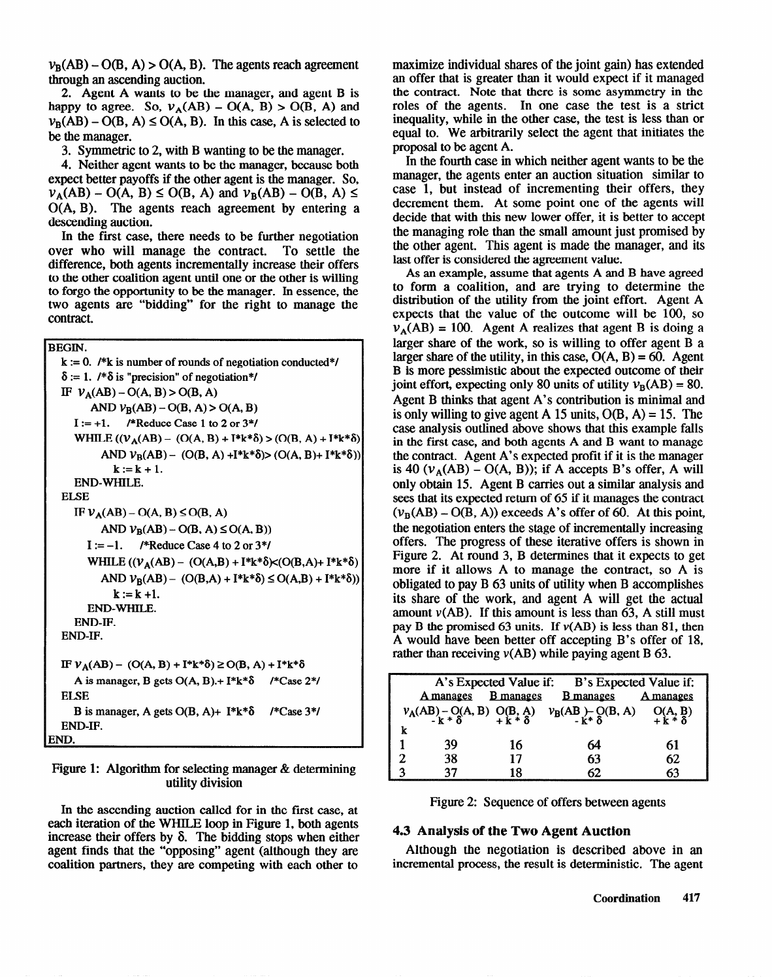$v_B(AB) - O(B, A) > O(A, B)$ . The agents reach agreement through an ascending auction.

2. Agent A wants to be the manager, and agent B is happy to agree. So,  $v_A(AB) - O(A, B) > O(B, A)$  and  $v_{\rm B}$ (AB) – O(B, A)  $\leq$  O(A, B). In this case, A is selected to be the manager.

3. Symmetric to 2, with B wanting to be the manager.

4. Neither agent wants to be the manager, because both expect better payoffs if the other agent is the manager. So,  $v_A(AB) - O(A, B) \le O(B, A)$  and  $v_B(AB) - O(B, A) \le$ O(A, B). The agents reach agreement by entering a descending auction.

In the first case, there needs to be further negotiation over who will manage the contract. To settle the difference, both agents incrementaIly increase their offers to the other coalition agent until one or the other is willing to forgo the opportunity to be the manager. In essence, the two agents **are** "bidding\*\* for the right to manage **the**  contract.

BEGIN.

```
k := 0. /*k is number of rounds of negotiation conducted*/
  \delta := 1. /*\delta is "precision" of negotiation*/
  IF V_A(AB) - O(A, B) > O(B, A)AND V_B(AB) - O(B, A) > O(A, B)I := +1. /*Reduce Case 1 to 2 or 3*/WHILE ((V_A(AB) - (O(A, B) + I^*k^*\delta) > (O(B, A) + I^*k^*\delta))AND V_B(AB) - (O(B, A) + I^*k^*\delta) > (O(A, B) + I^*k^*\delta)k := k + 1.
     END-WHILE. 
  ELSE 
     IF V_A(AB) - O(A, B) \le O(B, A)AND V_B(AB) - O(B, A) \le O(A, B)I := -1. /*Reduce Case 4 to 2 or 3*/WHILE ((V_A(AB) - (O(A,B) + I^*k^*\delta) \times (O(B,A) + I^*k^*\delta))AND V_B(AB) - (O(B,A) + I^*k^*\delta) \le O(A,B) + I^*k^*\delta)k := k + 1.
        END-WHILE. 
     END-IF. 
  END-IF. 
  IF V_A(AB) - (O(A, B) + I^*k^*\delta) \ge O(B, A) + I^*k^*\deltaA is manager, B gets O(A, B).+ I*k*& /*Case 2*/ 
  ELSE 
     B is manager, A gets O(B, A)+ I^*k^*\delta /*Case 3*/
END-IF.
```
Figure 1: Algorithm for selecting manager & determining utility division

In the ascending auction called for in the first case, at each iteration of the WHILE loop in Figure 1, both agents increase their offers by  $\delta$ . The bidding stops when either agent finds that the "opposing" agent (although they are coalition partners, they are competing with each other to

maximize individual shares of the joint gain) has extended an offer that is greater than it would expect if it managed the contract. Note that there is some asymmetry in the roles of the agents. In one case the test is a strict inequality, while in the other case, the test is less than or equal to. We arbitrarily select the agent that initiates the proposal to be agent A.

In the fourth case in which neither agent wants to be the manager, the agents enter an auction situation similar to case 1, but instead of incrementing their offers, they decrement them. At some point one of the agents will decide that with this new lower offer, it is better to accept the managing role than the small amount just promised by the other agent. This agent is made the manager, and its last offer is considered the agreement value.

As an example, assume that agents A and B have agreed to form a coalition, and are trying to determine the distribution of the utility from the joint effort. Agent A expects that the value of the outcome will be 100, so  $v_A(AB) = 100$ . Agent A realizes that agent B is doing a larger share of the work, so is willing to offer agent B a larger share of the utility, in this case,  $O(A, B) = 60$ . Agent B is more pessimistic about the expected outcome of their joint effort, expecting only 80 units of utility  $v_B(AB) = 80$ . Agent B thinks that agent A's contribution is minimal and is only willing to give agent A 15 units,  $O(B, A) = 15$ . The case analysis outlined above shows that this example falls in the first case, and both agents A and B want to manage the contract. Agent A's expected profit if it is the manager is 40 ( $v_A(AB)$  – O(A, B)); if A accepts B's offer, A will only obtain 15. Agent B carries out a similar analysis and sees that its expected return of 65 if it manages the contract  $(v_B(AB) - O(B, A))$  exceeds A's offer of 60. At this point, the negotiation enters the stage of incrementally increasing offers. The progress of these iterative offers is shown in Figure 2. At round 3, B determines that it expects to get more if it allows A to manage the contract, so A is obligated to pay B 63 units of utility when B accomplishes its share of the work, and agent A will get the actual amount  $v(AB)$ . If this amount is less than 63, A still must pay B the promised 63 units. If  $v(AB)$  is less than 81, then A would have been better off accepting B's offer of 18, rather than receiving  $v(AB)$  while paying agent B 63.

| A's Expected Value if: B's Expected Value if: |           |                  |                                                                                                 |           |
|-----------------------------------------------|-----------|------------------|-------------------------------------------------------------------------------------------------|-----------|
|                                               | A manages | <b>B</b> manages | <b>B</b> manages                                                                                | A manages |
|                                               |           |                  | $v_A(AB) - O(A, B)$ $O(B, A)$ $v_B(AB) - O(B, A)$ $O(A, B)$<br>- $k * \delta$<br>- $k * \delta$ |           |
|                                               |           |                  |                                                                                                 |           |
|                                               |           |                  |                                                                                                 |           |
|                                               | 39        | 16               | 64                                                                                              | 61        |
|                                               | 38        | 17               | 63                                                                                              | 62        |
|                                               | 37        | 18               | 62.                                                                                             |           |

Figure 2: Sequence of offers between agents

#### **4.3 Analysis of the Two Agent Auction**

Although the negotiation is described above in an incremental process, the result is deterministic. The agent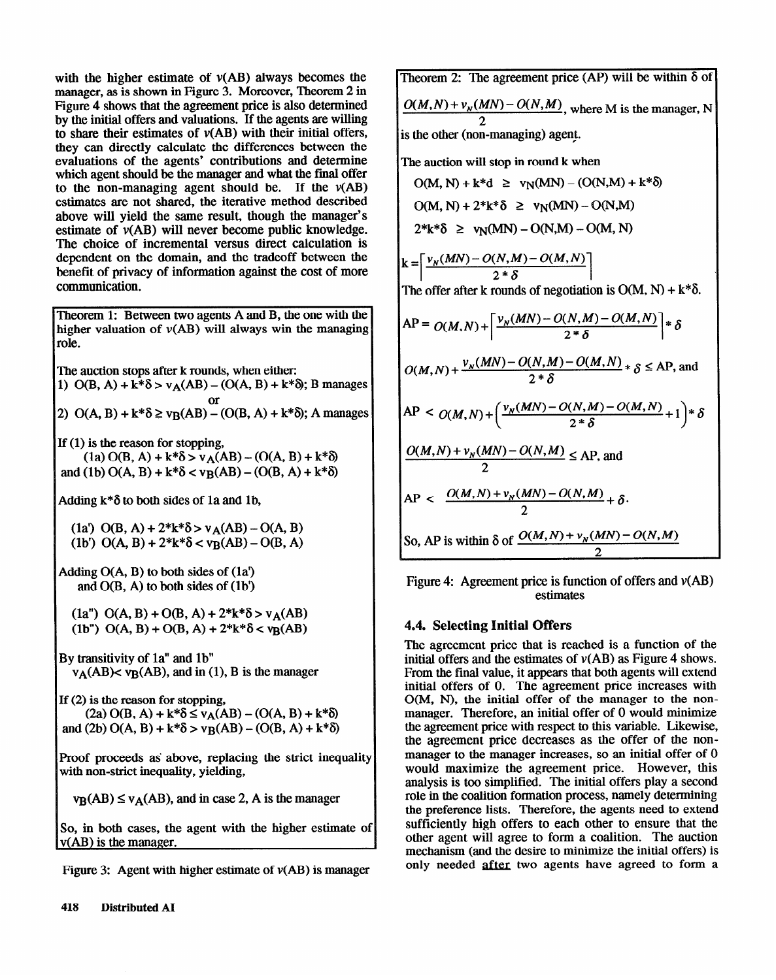with the higher estimate of  $v(AB)$  always becomes the manager, as is shown in Figure 3. Moreover, Theorem 2 in Figure 4 shows that the agreement price is also determined by the initial offers and valuations. If the agents are willing to share their estimates of  $v(AB)$  with their initial offers, they can directly calculate the differences between the evaluations of the agents' contributions and determine which agent should be the manager and what the final offer to the non-managing agent should be. If the  $v(AB)$ estimates are not shared, the iterative method described above will yield the same result, though the manager's estimate of v(AB) will never become public knowledge. The choice of incremental versus direct calculation is dependent on the domain, and the tradeoff between the benefit of privacy of information against the cost of more communication.

Theorem 1: Between two agents A and B, the one with the higher valuation of  $v(AB)$  will always win the managing role.

The auction stops after k rounds, when either:

1)  $O(B, A) + k^* \delta > v_A(AB) - (O(A, B) + k^* \delta)$ ; B manages or

2)  $O(A, B) + k * \delta \ge v_B(AB) - (O(B, A) + k * \delta);$  A manages

If  $(1)$  is the reason for stopping,

 $(1a) O(B, A) + k*\delta > v_A(AB) - (O(A, B) + k*\delta)$ and (1b)  $O(A, B) + k^* \delta < v_B(AB) - (O(B, A) + k^* \delta)$ 

Adding  $k*\delta$  to both sides of 1a and 1b,

(1a')  $O(B, A) + 2*k*\delta > v_A(AB) - O(A, B)$ (1b')  $O(A, B) + 2*k*\delta < v_B(AB) - O(B, A)$ 

Adding  $O(A, B)$  to both sides of  $(1a')$ and  $O(B, A)$  to both sides of  $(1b')$ 

(1a")  $O(A, B) + O(B, A) + 2*k*\delta > v_A(AB)$ (1b")  $O(A, B) + O(B, A) + 2*k*\delta < v_B(AB)$ 

By transitivity of la" and lb"  $v_A(AB)$  <  $v_B(AB)$ , and in (1), B is the manager

lf (2) is the reason for stopping,  $(2a)$  O(B, A) + k\* $\delta \le v_A(AB) - (O(A, B) + k*\delta)$ and (2b)  $O(A, B) + k*\delta > v_B(AB) - (O(B, A) + k*\delta)$ 

Proof proceeds as above, replacing the strict inequality with non-strict inequality, yielding,

 $v_B(AB) \le v_A(AB)$ , and in case 2, A is the manager

So, in both cases, the agent with the higher estimate of v(AB) is the manager.

Figure 3: Agent with higher estimate of  $v(AB)$  is manager

Theorem 2: The agreement price (AP) will be within  $\delta$  of  $\frac{O(M,N) + V_N(MN) - O(N,M)}{2}$ , where M is the manager, N 2 s the other (non-managing) agent. The auction will stop in round k when  $O(M, N) + k*d \ge v_N(MN) - (O(N, M) + k*\delta)$  $O(M, N) + 2*k*\delta \ge v_N(MN) - O(N,M)$  $2*k*\delta \ge v_N(MN) - O(N,M) - O(M,N)$  $k = \left[ \frac{v_N(MN) - O(N,M) - O(M,N)}{2 * \delta} \right]$ <br>The offer often brounds of possibility The offer after k rounds of negotiation is  $O(M, N) + k^* \delta$ .  $AP = O(M, N) + \left[ \frac{v_N(MN) - O(N, M) - O(M, N)}{2 * \delta} \right] * \delta$  $O(M, N) + \frac{V_N(M, N) - O(N, M)}{2 * \delta}$   $\delta$   $\leq$  AP, and  $AP < O(M, N) + \left(\frac{v_N(MN) - O(N, M) - O(M, N)}{2 * \delta} + 1\right)$ *\* s*   $\frac{O(M,N) + v_N(MN) - O(N,M)}{2} \le AP$ , and  $AP < \frac{O(M,N) + v_N(MN) - O(N,M)}{m} + \delta.$ 2 So, AP is within  $\delta$  of  $\frac{O(M,N)+V_N(MN)-C}{2}$ 

Figure 4: Agreement price is function of offers and  $v(AB)$ estimates

#### 4.4. Selecting Initial Offers

The agreement price that is reached is a function of the initial offers and the estimates of  $v(AB)$  as Figure 4 shows. From the final value, it appears that both agents will extend initial offers of 0. The agreement price increases with O(M, N), the initial offer of the manager to the nonmanager. Therefore, an initial offer of 0 would minimize the agreement price with respect to this variable. Likewise, the agreement price decreases as the offer of the nonmanager to the manager increases, so an initial offer of 0 would maximize the agreement price. However, this analysis is too simplified. The initial offers play a second role in the coalition formation process, namely determining the preference lists. Tberefore, the agents need to extend sufficiently high offers to each other to ensure that the other agent will agree to form a coalition. The auction mechanism (and the desire to minimize the initial offers) is only needed after two agents have agreed to form a